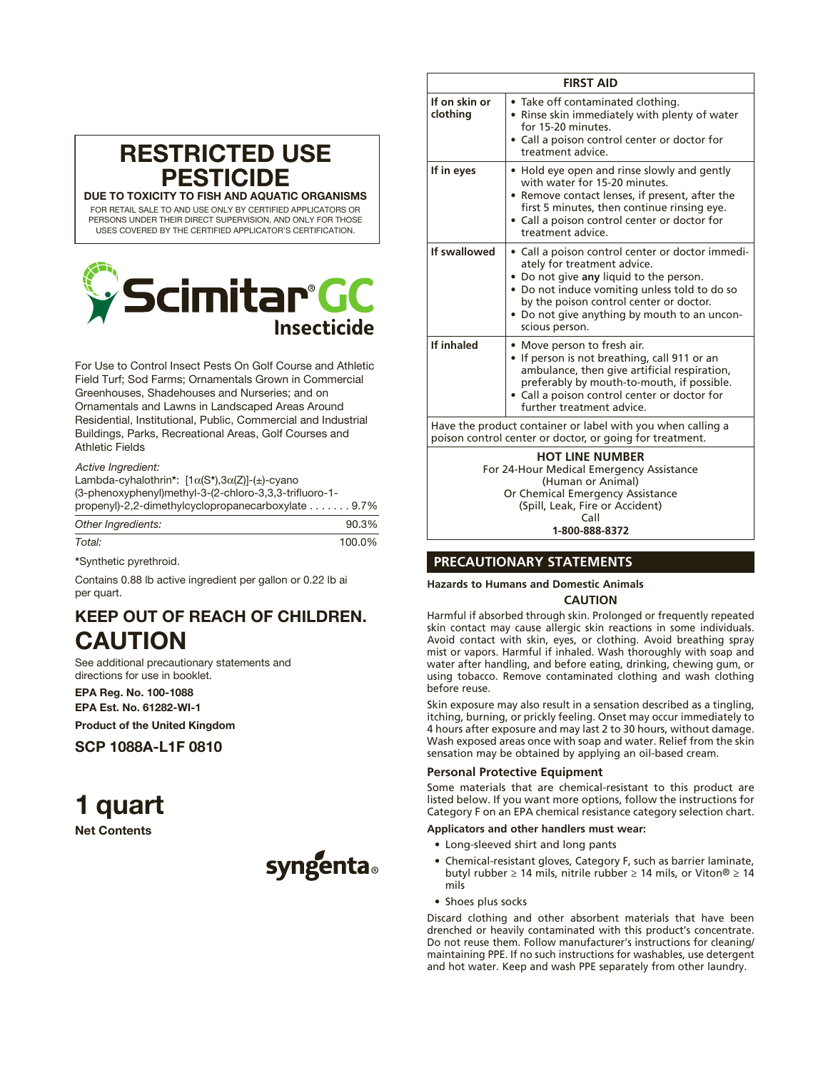| <b>RESTRICTED USE</b><br><b>PESTICIDE</b>                   |
|-------------------------------------------------------------|
| DUE TO TOXICITY TO FISH AND AQUATIC ORGANISMS               |
| FOR RETAIL SALE TO AND USE ONLY BY CERTIFIED APPLICATORS OR |

PERSONS UNDER THEIR DIRECT SUPERVISION, AND ONLY FOR THOSE USES COVERED BY THE CERTIFIED APPLICATOR'S CERTIFICATION.

# bcimitar°GC **Insecticide**

For Use to Control Insect Pests On Golf Course and Athletic Field Turf; Sod Farms; Ornamentals Grown in Commercial Greenhouses, Shadehouses and Nurseries; and on Ornamentals and Lawns in Landscaped Areas Around Residential, Institutional, Public, Commercial and Industrial Buildings, Parks, Recreational Areas, Golf Courses and Athletic Fields

*Active Ingredient:*

| propenyl)-2,2-dimethylcyclopropanecarboxylate 9.7%            |  |
|---------------------------------------------------------------|--|
| (3-phenoxyphenyl)methyl-3-(2-chloro-3,3,3-trifluoro-1-        |  |
|                                                               |  |
| Lambda-cyhalothrin*: $[1\alpha(S^*),3\alpha(Z)]-(\pm)$ -cyano |  |
|                                                               |  |

| 90.3%  |
|--------|
| 100.0% |
|        |

\*Synthetic pyrethroid.

Contains 0.88 lb active ingredient per gallon or 0.22 lb ai per quart.

## KEEP OUT OF REACH OF CHILDREN. CAUTION

See additional precautionary statements and directions for use in booklet.

EPA Reg. No. 100-1088 EPA Est. No. 61282-WI-1

Product of the United Kingdom

SCP 1088A-L1F 0810

## 1 quart

Net Contents



| <b>FIRST AID</b>          |                                                                                                                                                                                                                                                                                          |  |  |  |
|---------------------------|------------------------------------------------------------------------------------------------------------------------------------------------------------------------------------------------------------------------------------------------------------------------------------------|--|--|--|
| If on skin or<br>clothing | • Take off contaminated clothing.<br>• Rinse skin immediately with plenty of water<br>for 15-20 minutes.<br>• Call a poison control center or doctor for<br>treatment advice.                                                                                                            |  |  |  |
| If in eyes                | • Hold eye open and rinse slowly and gently<br>with water for 15-20 minutes.<br>• Remove contact lenses, if present, after the<br>first 5 minutes, then continue rinsing eye.<br>• Call a poison control center or doctor for<br>treatment advice.                                       |  |  |  |
| If swallowed              | • Call a poison control center or doctor immedi-<br>ately for treatment advice.<br>. Do not give any liquid to the person.<br>• Do not induce vomiting unless told to do so<br>by the poison control center or doctor.<br>• Do not give anything by mouth to an uncon-<br>scious person. |  |  |  |
| If inhaled                | • Move person to fresh air.<br>• If person is not breathing, call 911 or an<br>ambulance, then give artificial respiration,<br>preferably by mouth-to-mouth, if possible.<br>• Call a poison control center or doctor for<br>further treatment advice.                                   |  |  |  |
|                           | Have the product container or label with you when calling a<br>poison control center or doctor, or going for treatment.                                                                                                                                                                  |  |  |  |

**HOT LINE NUMBER** For 24-Hour Medical Emergency Assistance (Human or Animal) Or Chemical Emergency Assistance (Spill, Leak, Fire or Accident) Call **1-800-888-8372**

### **PRECAUTIONARY STATEMENTS**

**Hazards to Humans and Domestic Animals**

#### **CAUTION**

Harmful if absorbed through skin. Prolonged or frequently repeated skin contact may cause allergic skin reactions in some individuals. Avoid contact with skin, eyes, or clothing. Avoid breathing spray mist or vapors. Harmful if inhaled. Wash thoroughly with soap and water after handling, and before eating, drinking, chewing gum, or using tobacco. Remove contaminated clothing and wash clothing before reuse.

Skin exposure may also result in a sensation described as a tingling, itching, burning, or prickly feeling. Onset may occur immediately to 4 hours after exposure and may last 2 to 30 hours, without damage. Wash exposed areas once with soap and water. Relief from the skin sensation may be obtained by applying an oil-based cream.

#### **Personal Protective Equipment**

Some materials that are chemical-resistant to this product are listed below. If you want more options, follow the instructions for Category F on an EPA chemical resistance category selection chart.

#### **Applicators and other handlers must wear:**

- Long-sleeved shirt and long pants
- Chemical-resistant gloves, Category F, such as barrier laminate, butyl rubber  $\geq 14$  mils, nitrile rubber  $\geq 14$  mils, or Viton®  $\geq 14$ mils
- Shoes plus socks

Discard clothing and other absorbent materials that have been drenched or heavily contaminated with this product's concentrate. Do not reuse them. Follow manufacturer's instructions for cleaning/ maintaining PPE. If no such instructions for washables, use detergent and hot water. Keep and wash PPE separately from other laundry.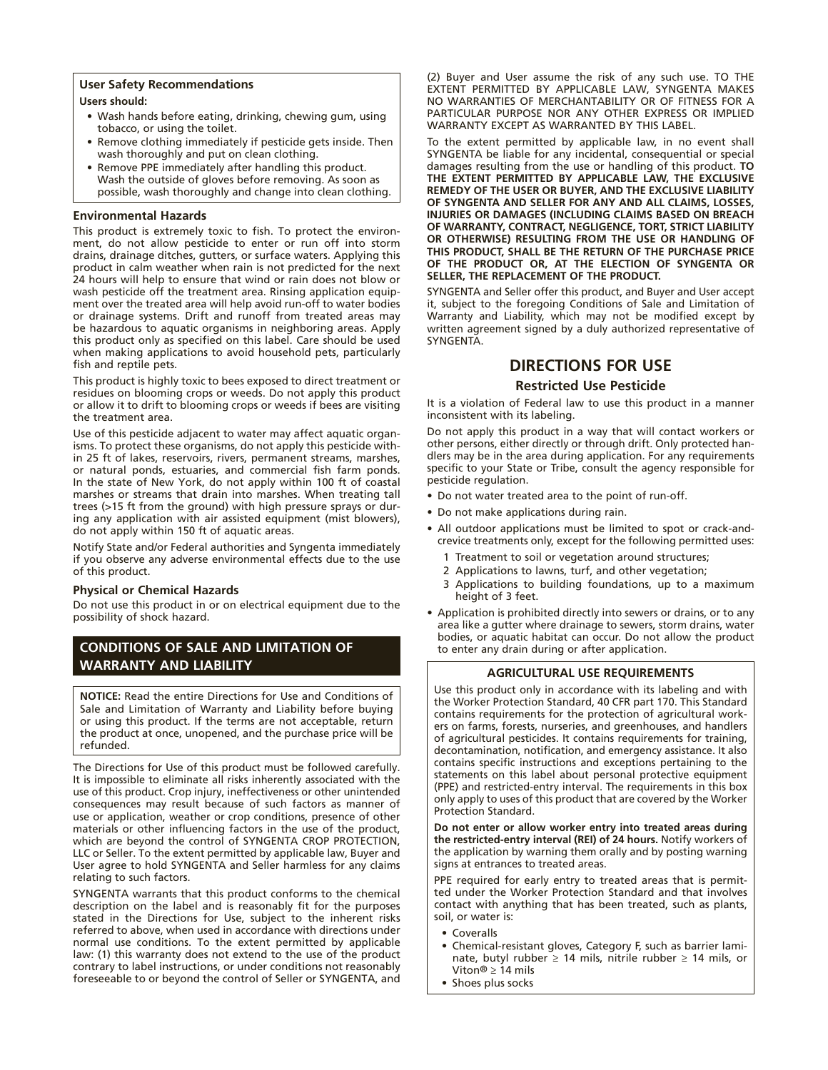#### **User Safety Recommendations**

#### **Users should:**

- • Wash hands before eating, drinking, chewing gum, using tobacco, or using the toilet.
- Remove clothing immediately if pesticide gets inside. Then wash thoroughly and put on clean clothing.
- Remove PPE immediately after handling this product. Wash the outside of gloves before removing. As soon as possible, wash thoroughly and change into clean clothing.

#### **Environmental Hazards**

This product is extremely toxic to fish. To protect the environment, do not allow pesticide to enter or run off into storm drains, drainage ditches, gutters, or surface waters. Applying this product in calm weather when rain is not predicted for the next 24 hours will help to ensure that wind or rain does not blow or wash pesticide off the treatment area. Rinsing application equipment over the treated area will help avoid run-off to water bodies or drainage systems. Drift and runoff from treated areas may be hazardous to aquatic organisms in neighboring areas. Apply this product only as specified on this label. Care should be used when making applications to avoid household pets, particularly fish and reptile pets.

This product is highly toxic to bees exposed to direct treatment or residues on blooming crops or weeds. Do not apply this product or allow it to drift to blooming crops or weeds if bees are visiting the treatment area.

Use of this pesticide adjacent to water may affect aquatic organisms. To protect these organisms, do not apply this pesticide within 25 ft of lakes, reservoirs, rivers, permanent streams, marshes, or natural ponds, estuaries, and commercial fish farm ponds. In the state of New York, do not apply within 100 ft of coastal marshes or streams that drain into marshes. When treating tall trees (>15 ft from the ground) with high pressure sprays or during any application with air assisted equipment (mist blowers), do not apply within 150 ft of aquatic areas.

Notify State and/or Federal authorities and Syngenta immediately if you observe any adverse environmental effects due to the use of this product.

#### **Physical or Chemical Hazards**

Do not use this product in or on electrical equipment due to the possibility of shock hazard.

## **CONDITIONS OF SALE AND LIMITATION OF WARRANTY AND LIABILITY**

**NOTICE:** Read the entire Directions for Use and Conditions of Sale and Limitation of Warranty and Liability before buying or using this product. If the terms are not acceptable, return the product at once, unopened, and the purchase price will be refunded.

The Directions for Use of this product must be followed carefully. It is impossible to eliminate all risks inherently associated with the use of this product. Crop injury, ineffectiveness or other unintended consequences may result because of such factors as manner of use or application, weather or crop conditions, presence of other materials or other influencing factors in the use of the product, which are beyond the control of SYNGENTA CROP PROTECTION, LLC or Seller. To the extent permitted by applicable law, Buyer and User agree to hold SYNGENTA and Seller harmless for any claims relating to such factors.

SYNGENTA warrants that this product conforms to the chemical description on the label and is reasonably fit for the purposes stated in the Directions for Use, subject to the inherent risks referred to above, when used in accordance with directions under normal use conditions. To the extent permitted by applicable law: (1) this warranty does not extend to the use of the product contrary to label instructions, or under conditions not reasonably foreseeable to or beyond the control of Seller or SYNGENTA, and

(2) Buyer and User assume the risk of any such use. TO THE EXTENT PERMITTED BY APPLICABLE LAW, SYNGENTA MAKES NO WARRANTIES OF MERCHANTABILITY OR OF FITNESS FOR A PARTICULAR PURPOSE NOR ANY OTHER EXPRESS OR IMPLIED WARRANTY EXCEPT AS WARRANTED BY THIS LABEL.

To the extent permitted by applicable law, in no event shall SYNGENTA be liable for any incidental, consequential or special damages resulting from the use or handling of this product. **TO THE EXTENT PERMITTED BY APPLICABLE LAW, THE EXCLUSIVE REMEDY OF THE USER OR BUYER, AND THE EXCLUSIVE LIABILITY OF SYNGENTA AND SELLER FOR ANY AND ALL CLAIMS, LOSSES, INJURIES OR DAMAGES (INCLUDING CLAIMS BASED ON BREACH OF WARRANTY, CONTRACT, NEGLIGENCE, TORT, STRICT LIABILITY OR OTHERWISE) RESULTING FROM THE USE OR HANDLING OF THIS PRODUCT, SHALL BE THE RETURN OF THE PURCHASE PRICE OF THE PRODUCT OR, AT THE ELECTION OF SYNGENTA OR SELLER, THE REPLACEMENT OF THE PRODUCT.**

SYNGENTA and Seller offer this product, and Buyer and User accept it, subject to the foregoing Conditions of Sale and Limitation of Warranty and Liability, which may not be modified except by written agreement signed by a duly authorized representative of SYNGENTA.

## **DIRECTIONS FOR USE**

#### **Restricted Use Pesticide**

It is a violation of Federal law to use this product in a manner inconsistent with its labeling.

Do not apply this product in a way that will contact workers or other persons, either directly or through drift. Only protected handlers may be in the area during application. For any requirements specific to your State or Tribe, consult the agency responsible for pesticide regulation.

- Do not water treated area to the point of run-off.
- • Do not make applications during rain.
- All outdoor applications must be limited to spot or crack-andcrevice treatments only, except for the following permitted uses:
	- 1 Treatment to soil or vegetation around structures;
	- 2 Applications to lawns, turf, and other vegetation;
	- 3 Applications to building foundations, up to a maximum height of 3 feet.
- Application is prohibited directly into sewers or drains, or to any area like a gutter where drainage to sewers, storm drains, water bodies, or aquatic habitat can occur. Do not allow the product to enter any drain during or after application.

#### **AGRICULTURAL USE REQUIREMENTS**

Use this product only in accordance with its labeling and with the Worker Protection Standard, 40 CFR part 170. This Standard contains requirements for the protection of agricultural workers on farms, forests, nurseries, and greenhouses, and handlers of agricultural pesticides. It contains requirements for training, decontamination, notification, and emergency assistance. It also contains specific instructions and exceptions pertaining to the statements on this label about personal protective equipment (PPE) and restricted-entry interval. The requirements in this box only apply to uses of this product that are covered by the Worker Protection Standard.

**Do not enter or allow worker entry into treated areas during the restricted-entry interval (REI) of 24 hours.** Notify workers of the application by warning them orally and by posting warning signs at entrances to treated areas.

PPE required for early entry to treated areas that is permitted under the Worker Protection Standard and that involves contact with anything that has been treated, such as plants, soil, or water is:

- • Coveralls
- Chemical-resistant gloves, Category F, such as barrier laminate, butyl rubber ≥ 14 mils, nitrile rubber ≥ 14 mils, or Viton® ≥ 14 mils
- Shoes plus socks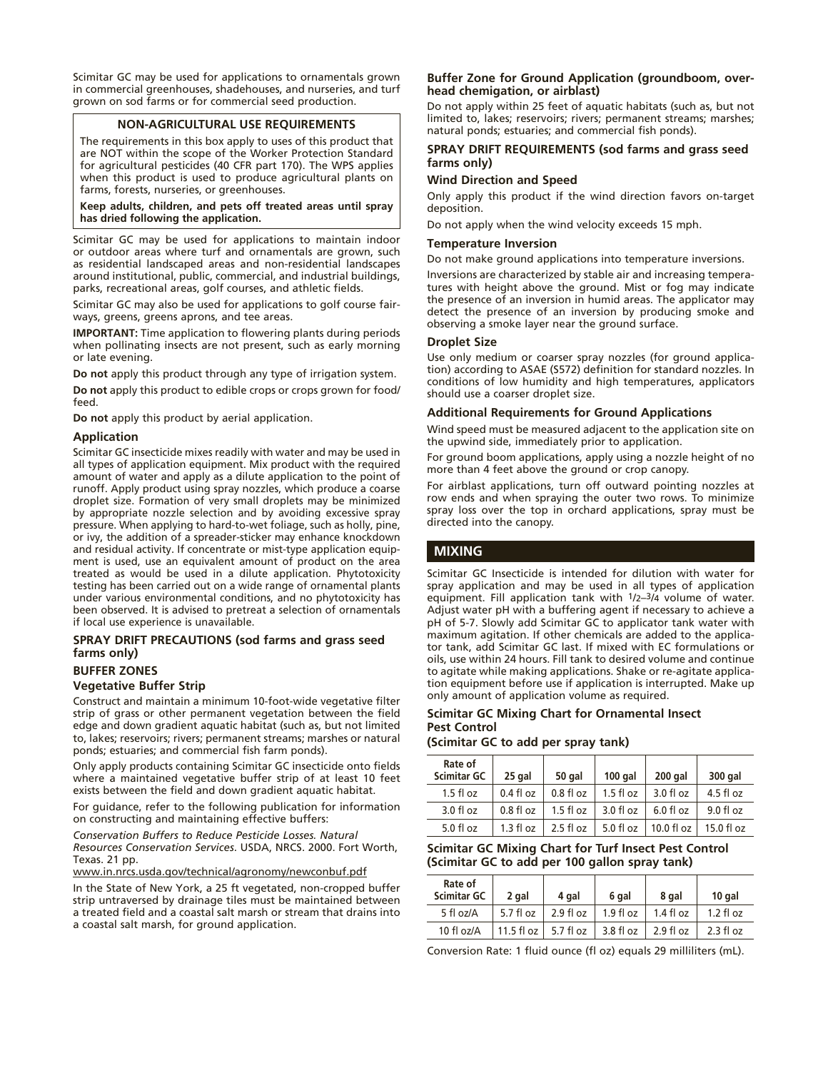Scimitar GC may be used for applications to ornamentals grown in commercial greenhouses, shadehouses, and nurseries, and turf grown on sod farms or for commercial seed production.

#### **NON-AGRICULTURAL USE REQUIREMENTS**

The requirements in this box apply to uses of this product that are NOT within the scope of the Worker Protection Standard for agricultural pesticides (40 CFR part 170). The WPS applies when this product is used to produce agricultural plants on farms, forests, nurseries, or greenhouses.

**Keep adults, children, and pets off treated areas until spray has dried following the application.**

Scimitar GC may be used for applications to maintain indoor or outdoor areas where turf and ornamentals are grown, such as residential landscaped areas and non-residential landscapes around institutional, public, commercial, and industrial buildings, parks, recreational areas, golf courses, and athletic fields.

Scimitar GC may also be used for applications to golf course fairways, greens, greens aprons, and tee areas.

**IMPORTANT:** Time application to flowering plants during periods when pollinating insects are not present, such as early morning or late evening.

**Do not** apply this product through any type of irrigation system.

**Do not** apply this product to edible crops or crops grown for food/ feed.

**Do not** apply this product by aerial application.

#### **Application**

Scimitar GC insecticide mixes readily with water and may be used in all types of application equipment. Mix product with the required amount of water and apply as a dilute application to the point of runoff. Apply product using spray nozzles, which produce a coarse droplet size. Formation of very small droplets may be minimized by appropriate nozzle selection and by avoiding excessive spray pressure. When applying to hard-to-wet foliage, such as holly, pine, or ivy, the addition of a spreader-sticker may enhance knockdown and residual activity. If concentrate or mist-type application equipment is used, use an equivalent amount of product on the area treated as would be used in a dilute application. Phytotoxicity testing has been carried out on a wide range of ornamental plants under various environmental conditions, and no phytotoxicity has been observed. It is advised to pretreat a selection of ornamentals if local use experience is unavailable.

#### **SPRAY DRIFT PRECAUTIONS (sod farms and grass seed farms only)**

#### **BUFFER ZONES**

#### **Vegetative Buffer Strip**

Construct and maintain a minimum 10-foot-wide vegetative filter strip of grass or other permanent vegetation between the field edge and down gradient aquatic habitat (such as, but not limited to, lakes; reservoirs; rivers; permanent streams; marshes or natural ponds; estuaries; and commercial fish farm ponds).

Only apply products containing Scimitar GC insecticide onto fields where a maintained vegetative buffer strip of at least 10 feet exists between the field and down gradient aquatic habitat.

For guidance, refer to the following publication for information on constructing and maintaining effective buffers:

*Conservation Buffers to Reduce Pesticide Losses. Natural Resources Conservation Services*. USDA, NRCS. 2000. Fort Worth, Texas. 21 pp.

www.in.nrcs.usda.gov/technical/agronomy/newconbuf.pdf

In the State of New York, a 25 ft vegetated, non-cropped buffer strip untraversed by drainage tiles must be maintained between a treated field and a coastal salt marsh or stream that drains into a coastal salt marsh, for ground application.

#### **Buffer Zone for Ground Application (groundboom, overhead chemigation, or airblast)**

Do not apply within 25 feet of aquatic habitats (such as, but not limited to, lakes; reservoirs; rivers; permanent streams; marshes; natural ponds; estuaries; and commercial fish ponds).

#### **SPRAY DRIFT REQUIREMENTS (sod farms and grass seed farms only)**

#### **Wind Direction and Speed**

Only apply this product if the wind direction favors on-target deposition.

Do not apply when the wind velocity exceeds 15 mph.

#### **Temperature Inversion**

Do not make ground applications into temperature inversions.

Inversions are characterized by stable air and increasing temperatures with height above the ground. Mist or fog may indicate the presence of an inversion in humid areas. The applicator may detect the presence of an inversion by producing smoke and observing a smoke layer near the ground surface.

#### **Droplet Size**

Use only medium or coarser spray nozzles (for ground application) according to ASAE (S572) definition for standard nozzles. In conditions of low humidity and high temperatures, applicators should use a coarser droplet size.

#### **Additional Requirements for Ground Applications**

Wind speed must be measured adjacent to the application site on the upwind side, immediately prior to application.

For ground boom applications, apply using a nozzle height of no more than 4 feet above the ground or crop canopy.

For airblast applications, turn off outward pointing nozzles at row ends and when spraying the outer two rows. To minimize spray loss over the top in orchard applications, spray must be directed into the canopy.

#### **MIXING**

Scimitar GC Insecticide is intended for dilution with water for spray application and may be used in all types of application equipment. Fill application tank with  $1/2-3/4$  volume of water. Adjust water pH with a buffering agent if necessary to achieve a pH of 5-7. Slowly add Scimitar GC to applicator tank water with maximum agitation. If other chemicals are added to the applicator tank, add Scimitar GC last. If mixed with EC formulations or oils, use within 24 hours. Fill tank to desired volume and continue to agitate while making applications. Shake or re-agitate application equipment before use if application is interrupted. Make up only amount of application volume as required.

#### **Scimitar GC Mixing Chart for Ornamental Insect Pest Control**

#### **(Scimitar GC to add per spray tank)**

| Rate of<br><b>Scimitar GC</b> | 25 gal       | 50 gal      | $100$ gal    | 200 gal        | 300 gal              |
|-------------------------------|--------------|-------------|--------------|----------------|----------------------|
| $1.5 f$ l oz                  | $0.4 f$ l oz | $0.8f$ l oz | $1.5$ fl oz  | $3.0 f$ l oz   | $4.5$ fl oz          |
| $3.0 f$ l oz                  | $0.8f$ loz   | $1.5$ fl oz | $3.0 f$ l oz | $6.0$ fl oz    | 9.0 fl oz            |
| $5.0 f$ l oz                  | $1.3 f$ l oz | $2.5$ fl oz | $5.0 f$ l oz | 10.0 fl oz $ $ | $15.0 \text{ fl oz}$ |

#### **Scimitar GC Mixing Chart for Turf Insect Pest Control (Scimitar GC to add per 100 gallon spray tank)**

| Rate of<br><b>Scimitar GC</b> | 2 gal              | 4 gal        | 6 gal     | 8 gal     | 10 gal              |
|-------------------------------|--------------------|--------------|-----------|-----------|---------------------|
| 5 fl oz/A                     | 5.7 fl oz          | $2.9 f$ l oz | 1.9 fl oz | 1.4 fl oz | $1.2 \text{ fl oz}$ |
| $10 f$ l oz/A                 | 11.5 fl oz $\vert$ | 5.7 fl oz    | 3.8 fl oz | 2.9 fl oz | 2.3 f1 oz           |

Conversion Rate: 1 fluid ounce (fl oz) equals 29 milliliters (mL).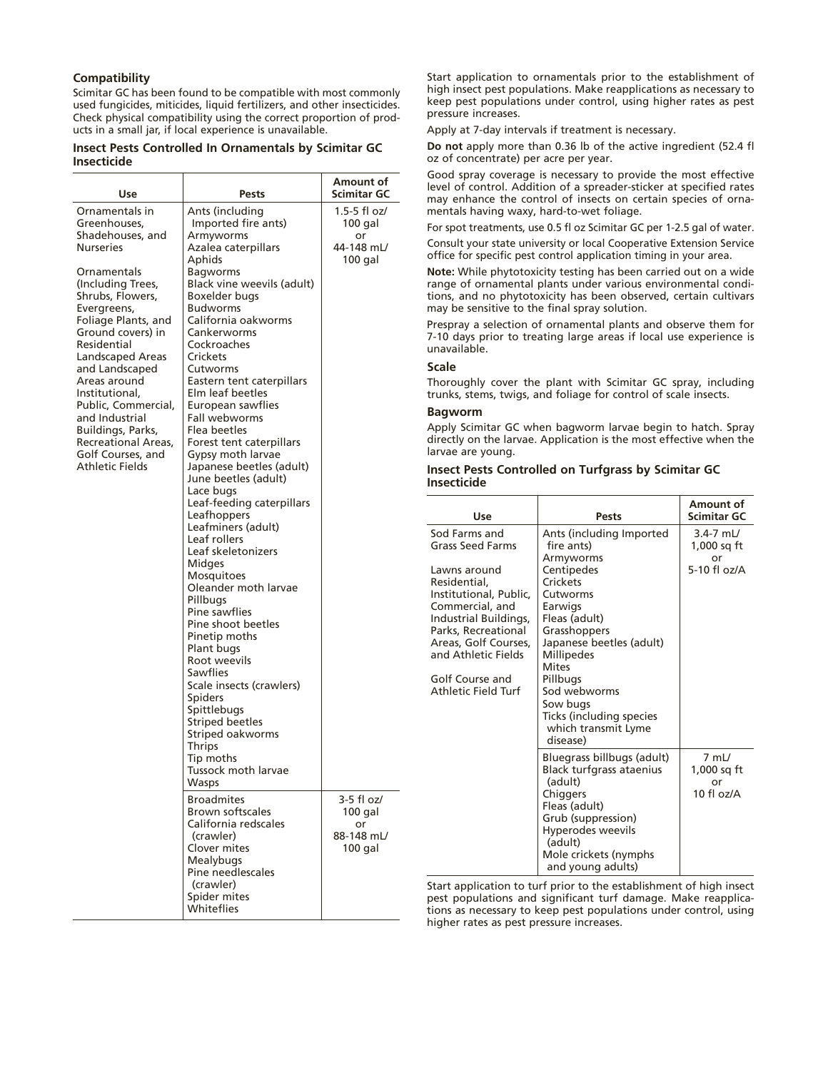#### **Compatibility**

Scimitar GC has been found to be compatible with most commonly used fungicides, miticides, liquid fertilizers, and other insecticides. Check physical compatibility using the correct proportion of products in a small jar, if local experience is unavailable.

#### **Insect Pests Controlled In Ornamentals by Scimitar GC Insecticide**

| Use                                                                                                             | Pests                                                                                                                                                                                                    | Amount of<br>Scimitar GC                                 | Good s<br>level of<br>may en                                             |
|-----------------------------------------------------------------------------------------------------------------|----------------------------------------------------------------------------------------------------------------------------------------------------------------------------------------------------------|----------------------------------------------------------|--------------------------------------------------------------------------|
| Ornamentals in<br>Greenhouses,                                                                                  | Ants (including<br>Imported fire ants)                                                                                                                                                                   | 1.5-5 fl oz/<br>100 gal                                  | mental:<br>For spot                                                      |
| Shadehouses, and<br><b>Nurseries</b>                                                                            | Armyworms<br>Azalea caterpillars<br>Aphids                                                                                                                                                               | or<br>44-148 mL/<br>$100$ gal                            | Consult<br>office f                                                      |
| Ornamentals<br>(Including Trees,<br>Shrubs, Flowers,<br>Evergreens,<br>Foliage Plants, and<br>Ground covers) in | <b>Bagworms</b><br>Black vine weevils (adult)<br>Boxelder bugs<br><b>Budworms</b><br>California oakworms<br>Cankerworms                                                                                  |                                                          | Note: V<br>range o<br>tions, a<br>may be<br>Prespra                      |
| Residential<br>Landscaped Areas                                                                                 | Cockroaches<br>Crickets                                                                                                                                                                                  |                                                          | 7-10 da<br>unavail                                                       |
| and Landscaped<br>Areas around<br>Institutional,                                                                | Cutworms<br>Eastern tent caterpillars<br>Elm leaf beetles                                                                                                                                                |                                                          | Scale<br>Thorou<br>trunks,                                               |
| Public, Commercial,<br>and Industrial<br>Buildings, Parks,<br>Recreational Areas,<br>Golf Courses, and          | European sawflies<br>Fall webworms<br>Flea beetles<br>Forest tent caterpillars<br>Gypsy moth larvae                                                                                                      |                                                          | Bagwo<br>Apply 9<br>directly<br>larvae a                                 |
| Athletic Fields                                                                                                 | Japanese beetles (adult)<br>June beetles (adult)<br>Lace bugs<br>Leaf-feeding caterpillars                                                                                                               |                                                          | <b>Insect</b><br><b>Insecti</b>                                          |
|                                                                                                                 | Leafhoppers<br>Leafminers (adult)<br>Leaf rollers<br>Leaf skeletonizers                                                                                                                                  |                                                          | Sod Fa<br>Grass S                                                        |
|                                                                                                                 | Midges<br><b>Mosquitoes</b><br>Oleander moth larvae<br>Pillbugs<br>Pine sawflies<br>Pine shoot beetles<br>Pinetip moths<br>Plant bugs                                                                    |                                                          | Lawns<br>Reside<br><b>Institu</b><br>Comm<br>Industi<br>Parks,<br>Areas, |
|                                                                                                                 | Root weevils<br><b>Sawflies</b><br>Scale insects (crawlers)<br><b>Spiders</b><br>Spittlebugs<br><b>Striped beetles</b><br>Striped oakworms<br><b>Thrips</b><br>Tip moths<br>Tussock moth larvae<br>Wasps |                                                          | and At<br>Golf C<br>Athlet                                               |
|                                                                                                                 | <b>Broadmites</b><br><b>Brown softscales</b><br>California redscales<br>(crawler)<br>Clover mites<br>Mealybugs                                                                                           | 3-5 fl oz/<br>$100$ gal<br>or<br>88-148 mL/<br>$100$ gal |                                                                          |
|                                                                                                                 | Pine needlescales<br>(crawler)<br>Spider mites<br>Whiteflies                                                                                                                                             |                                                          | Start ap<br>pest po<br>tions as                                          |

Start application to ornamentals prior to the establishment of high insect pest populations. Make reapplications as necessary to keep pest populations under control, using higher rates as pest pressure increases.

Apply at 7-day intervals if treatment is necessary.

**Do not** apply more than 0.36 lb of the active ingredient (52.4 fl oz of concentrate) per acre per year.

spray coverage is necessary to provide the most effective control. Addition of a spreader-sticker at specified rates hance the control of insects on certain species of ornas having waxy, hard-to-wet foliage.

t treatments, use 0.5 fl oz Scimitar GC per 1-2.5 gal of water.

your state university or local Cooperative Extension Service or specific pest control application timing in your area.

**Note:** While phytotoxicity testing has been carried out on a wide of ornamental plants under various environmental condiand no phytotoxicity has been observed, certain cultivars sensitive to the final spray solution.

ry a selection of ornamental plants and observe them for ays prior to treating large areas if local use experience is able.

ghly cover the plant with Scimitar GC spray, including stems, twigs, and foliage for control of scale insects.

#### **Bagworm**

Scimitar GC when bagworm larvae begin to hatch. Spray on the larvae. Application is the most effective when the are young.

#### Pests Controlled on Turfgrass by Scimitar GC **I**cide

| Use                                                                                                                                                                                                                                                            | <b>Pests</b>                                                                                                                                                                                                                                                               | Amount of<br><b>Scimitar GC</b>                       |
|----------------------------------------------------------------------------------------------------------------------------------------------------------------------------------------------------------------------------------------------------------------|----------------------------------------------------------------------------------------------------------------------------------------------------------------------------------------------------------------------------------------------------------------------------|-------------------------------------------------------|
| Sod Farms and<br><b>Grass Seed Farms</b><br>Lawns around<br>Residential.<br>Institutional, Public,<br>Commercial, and<br>Industrial Buildings,<br>Parks, Recreational<br>Areas, Golf Courses,<br>and Athletic Fields<br>Golf Course and<br>Athletic Field Turf | Ants (including Imported<br>fire ants)<br>Armyworms<br>Centipedes<br>Crickets<br>Cutworms<br>Earwigs<br>Fleas (adult)<br>Grasshoppers<br>Japanese beetles (adult)<br><b>Millipedes</b><br><b>Mites</b><br>Pillbugs<br>Sod webworms<br>Sow bugs<br>Ticks (including species | $3.4 - 7$ mL/<br>1,000 sq ft<br>or<br>5-10 $f$ l oz/A |
|                                                                                                                                                                                                                                                                | which transmit Lyme<br>disease)<br>Bluegrass billbugs (adult)<br>Black turfgrass ataenius<br>(adult)<br>Chiggers<br>Fleas (adult)<br>Grub (suppression)<br>Hyperodes weevils<br>(adult)<br>Mole crickets (nymphs<br>and young adults)                                      | $7$ mL/<br>1,000 sa ft<br>or<br>$10f$ l $oz/A$        |

oplication to turf prior to the establishment of high insect ppulations and significant turf damage. Make reapplicas necessary to keep pest populations under control, using higher rates as pest pressure increases.